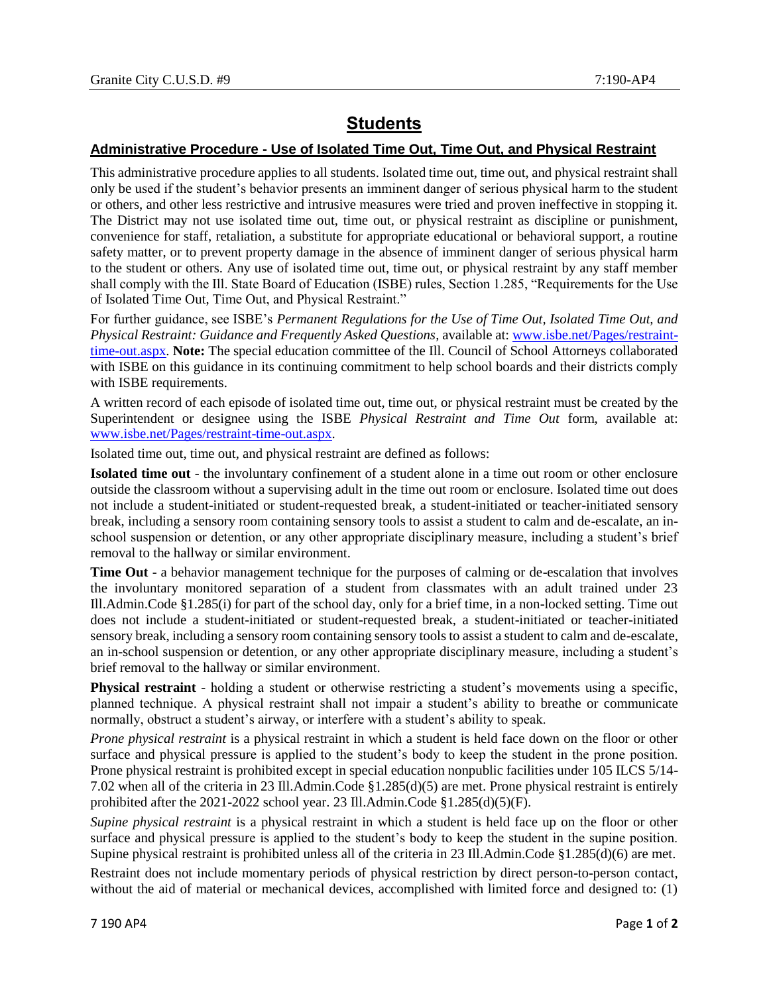## **Students**

## **Administrative Procedure - Use of Isolated Time Out, Time Out, and Physical Restraint**

This administrative procedure applies to all students. Isolated time out, time out, and physical restraint shall only be used if the student's behavior presents an imminent danger of serious physical harm to the student or others, and other less restrictive and intrusive measures were tried and proven ineffective in stopping it. The District may not use isolated time out, time out, or physical restraint as discipline or punishment, convenience for staff, retaliation, a substitute for appropriate educational or behavioral support, a routine safety matter, or to prevent property damage in the absence of imminent danger of serious physical harm to the student or others. Any use of isolated time out, time out, or physical restraint by any staff member shall comply with the Ill. State Board of Education (ISBE) rules, Section 1.285, "Requirements for the Use of Isolated Time Out, Time Out, and Physical Restraint."

For further guidance, see ISBE's *Permanent Regulations for the Use of Time Out, Isolated Time Out, and Physical Restraint: Guidance and Frequently Asked Questions*, available at: [www.isbe.net/Pages/restraint](https://www.isbe.net/Pages/restraint-time-out.aspx)[time-out.aspx.](https://www.isbe.net/Pages/restraint-time-out.aspx) **Note:** The special education committee of the Ill. Council of School Attorneys collaborated with ISBE on this guidance in its continuing commitment to help school boards and their districts comply with ISBE requirements.

A written record of each episode of isolated time out, time out, or physical restraint must be created by the Superintendent or designee using the ISBE *Physical Restraint and Time Out* form, available at: [www.isbe.net/Pages/restraint-time-out.aspx.](https://www.isbe.net/Pages/restraint-time-out.aspx)

Isolated time out, time out, and physical restraint are defined as follows:

**Isolated time out** - the involuntary confinement of a student alone in a time out room or other enclosure outside the classroom without a supervising adult in the time out room or enclosure. Isolated time out does not include a student-initiated or student-requested break, a student-initiated or teacher-initiated sensory break, including a sensory room containing sensory tools to assist a student to calm and de-escalate, an inschool suspension or detention, or any other appropriate disciplinary measure, including a student's brief removal to the hallway or similar environment.

**Time Out** - a behavior management technique for the purposes of calming or de-escalation that involves the involuntary monitored separation of a student from classmates with an adult trained under 23 Ill.Admin.Code §1.285(i) for part of the school day, only for a brief time, in a non-locked setting. Time out does not include a student-initiated or student-requested break, a student-initiated or teacher-initiated sensory break, including a sensory room containing sensory tools to assist a student to calm and de-escalate, an in-school suspension or detention, or any other appropriate disciplinary measure, including a student's brief removal to the hallway or similar environment.

**Physical restraint** - holding a student or otherwise restricting a student's movements using a specific, planned technique. A physical restraint shall not impair a student's ability to breathe or communicate normally, obstruct a student's airway, or interfere with a student's ability to speak.

*Prone physical restraint* is a physical restraint in which a student is held face down on the floor or other surface and physical pressure is applied to the student's body to keep the student in the prone position. Prone physical restraint is prohibited except in special education nonpublic facilities under 105 ILCS 5/14- 7.02 when all of the criteria in 23 Ill.Admin.Code §1.285(d)(5) are met. Prone physical restraint is entirely prohibited after the  $2021-2022$  school year. 23 Ill.Admin.Code §1.285(d)(5)(F).

*Supine physical restraint* is a physical restraint in which a student is held face up on the floor or other surface and physical pressure is applied to the student's body to keep the student in the supine position. Supine physical restraint is prohibited unless all of the criteria in 23 Ill.Admin.Code §1.285(d)(6) are met.

Restraint does not include momentary periods of physical restriction by direct person-to-person contact, without the aid of material or mechanical devices, accomplished with limited force and designed to: (1)